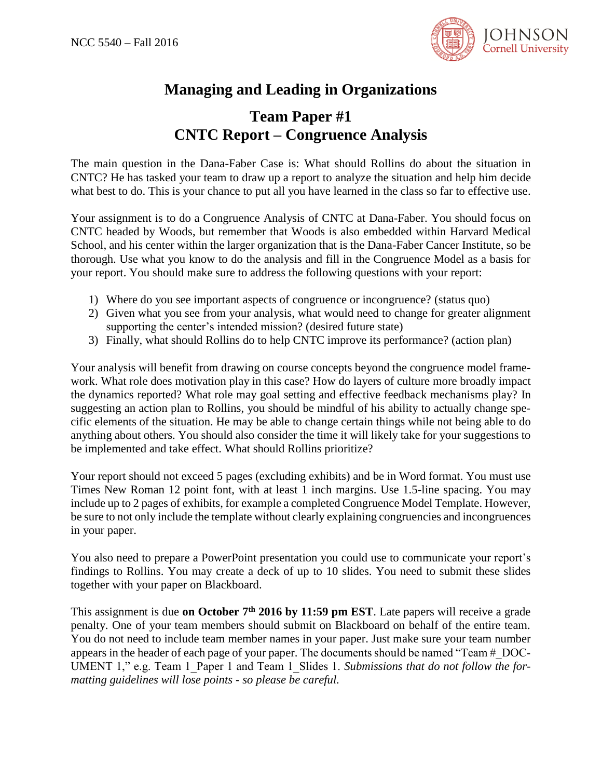

## **Managing and Leading in Organizations**

## **Team Paper #1 CNTC Report – Congruence Analysis**

The main question in the Dana-Faber Case is: What should Rollins do about the situation in CNTC? He has tasked your team to draw up a report to analyze the situation and help him decide what best to do. This is your chance to put all you have learned in the class so far to effective use.

Your assignment is to do a Congruence Analysis of CNTC at Dana-Faber. You should focus on CNTC headed by Woods, but remember that Woods is also embedded within Harvard Medical School, and his center within the larger organization that is the Dana-Faber Cancer Institute, so be thorough. Use what you know to do the analysis and fill in the Congruence Model as a basis for your report. You should make sure to address the following questions with your report:

- 1) Where do you see important aspects of congruence or incongruence? (status quo)
- 2) Given what you see from your analysis, what would need to change for greater alignment supporting the center's intended mission? (desired future state)
- 3) Finally, what should Rollins do to help CNTC improve its performance? (action plan)

Your analysis will benefit from drawing on course concepts beyond the congruence model framework. What role does motivation play in this case? How do layers of culture more broadly impact the dynamics reported? What role may goal setting and effective feedback mechanisms play? In suggesting an action plan to Rollins, you should be mindful of his ability to actually change specific elements of the situation. He may be able to change certain things while not being able to do anything about others. You should also consider the time it will likely take for your suggestions to be implemented and take effect. What should Rollins prioritize?

Your report should not exceed 5 pages (excluding exhibits) and be in Word format. You must use Times New Roman 12 point font, with at least 1 inch margins. Use 1.5-line spacing. You may include up to 2 pages of exhibits, for example a completed Congruence Model Template. However, be sure to not only include the template without clearly explaining congruencies and incongruences in your paper.

You also need to prepare a PowerPoint presentation you could use to communicate your report's findings to Rollins. You may create a deck of up to 10 slides. You need to submit these slides together with your paper on Blackboard.

This assignment is due **on October 7th 2016 by 11:59 pm EST**. Late papers will receive a grade penalty. One of your team members should submit on Blackboard on behalf of the entire team. You do not need to include team member names in your paper. Just make sure your team number appears in the header of each page of your paper. The documents should be named "Team #\_DOC-UMENT 1," e.g. Team 1\_Paper 1 and Team 1\_Slides 1. *Submissions that do not follow the formatting guidelines will lose points - so please be careful.*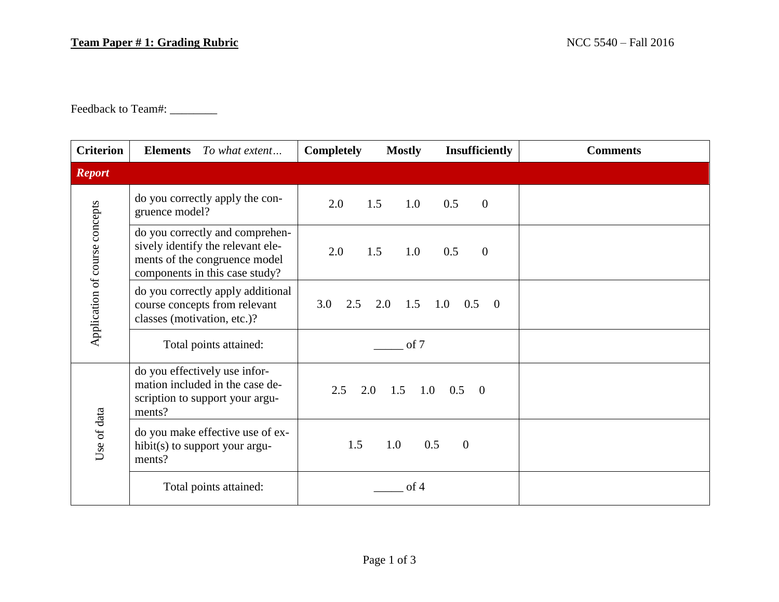## **Team Paper # 1: Grading Rubric** NCC 5540 – Fall 2016

Feedback to Team#: \_\_\_\_\_\_\_\_\_

| <b>Criterion</b>               | <b>Elements</b> To what extent                                                                                                          | <b>Insufficiently</b><br><b>Mostly</b><br><b>Completely</b> | <b>Comments</b> |
|--------------------------------|-----------------------------------------------------------------------------------------------------------------------------------------|-------------------------------------------------------------|-----------------|
| <b>Report</b>                  |                                                                                                                                         |                                                             |                 |
| Application of course concepts | do you correctly apply the con-<br>gruence model?                                                                                       | 2.0<br>$\mathbf{0}$<br>1.5<br>1.0<br>0.5                    |                 |
|                                | do you correctly and comprehen-<br>sively identify the relevant ele-<br>ments of the congruence model<br>components in this case study? | 2.0<br>1.5<br>1.0<br>0.5<br>$\overline{0}$                  |                 |
|                                | do you correctly apply additional<br>course concepts from relevant<br>classes (motivation, etc.)?                                       | 3.0<br>2.5<br>2.0<br>1.5<br>1.0<br>0.5<br>$\Omega$          |                 |
|                                | Total points attained:                                                                                                                  | of 7                                                        |                 |
| Use of data                    | do you effectively use infor-<br>mation included in the case de-<br>scription to support your argu-<br>ments?                           | 2.5<br>2.0<br>$1.5$ $1.0$ $0.5$ 0                           |                 |
|                                | do you make effective use of ex-<br>hibit(s) to support your argu-<br>ments?                                                            | 1.5<br>1.0<br>0.5<br>$\overline{0}$                         |                 |
|                                | Total points attained:                                                                                                                  | of 4                                                        |                 |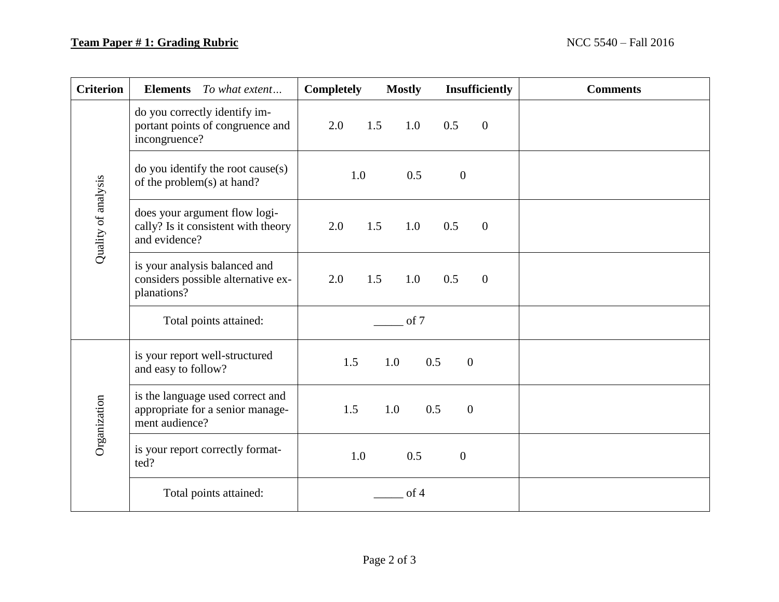## **Team Paper # 1: Grading Rubric** NCC 5540 – Fall 2016

| <b>Criterion</b>    | <b>Elements</b> To what extent                                                         | <b>Completely</b> | <b>Mostly</b> | <b>Insufficiently</b> |                | <b>Comments</b> |
|---------------------|----------------------------------------------------------------------------------------|-------------------|---------------|-----------------------|----------------|-----------------|
| Quality of analysis | do you correctly identify im-<br>portant points of congruence and<br>incongruence?     | 2.0               | 1.5<br>1.0    | 0.5                   | $\overline{0}$ |                 |
|                     | do you identify the root cause(s)<br>of the problem(s) at hand?                        | 1.0               | 0.5           | $\boldsymbol{0}$      |                |                 |
|                     | does your argument flow logi-<br>cally? Is it consistent with theory<br>and evidence?  | 2.0               | 1.5<br>1.0    | 0.5                   | $\mathbf{0}$   |                 |
|                     | is your analysis balanced and<br>considers possible alternative ex-<br>planations?     | 2.0               | 1.5<br>1.0    | 0.5                   | $\mathbf{0}$   |                 |
|                     | Total points attained:                                                                 | of 7              |               |                       |                |                 |
| Organization        | is your report well-structured<br>and easy to follow?                                  | 1.5               | 0.5<br>1.0    | $\overline{0}$        |                |                 |
|                     | is the language used correct and<br>appropriate for a senior manage-<br>ment audience? | 1.5               | 0.5<br>1.0    | $\overline{0}$        |                |                 |
|                     | is your report correctly format-<br>ted?                                               | 1.0               | 0.5           | $\mathbf{0}$          |                |                 |
|                     | Total points attained:                                                                 |                   | of 4          |                       |                |                 |